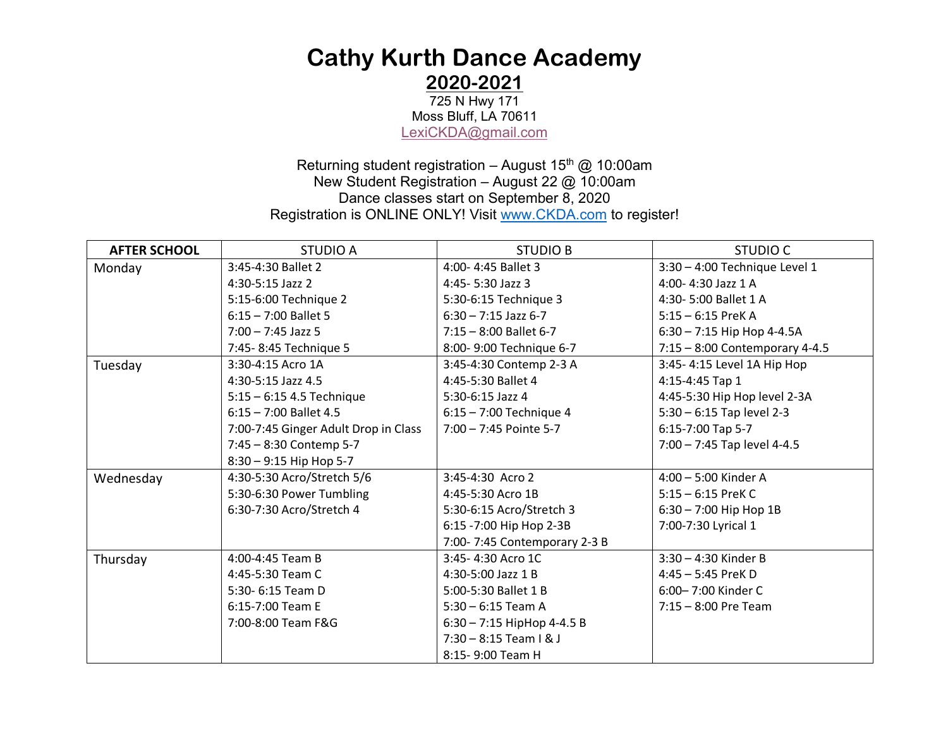# **Cathy Kurth Dance Academy 2020-2021**

725 N Hwy 171 Moss Bluff, LA 70611 LexiCKDA@gmail.com

Returning student registration - August  $15<sup>th</sup>$  @ 10:00am New Student Registration – August 22 @ 10:00am Dance classes start on September 8, 2020 Registration is ONLINE ONLY! Visit www.CKDA.com to register!

| <b>AFTER SCHOOL</b> | <b>STUDIO A</b>                      | <b>STUDIO B</b>              | <b>STUDIO C</b>                  |
|---------------------|--------------------------------------|------------------------------|----------------------------------|
| Monday              | 3:45-4:30 Ballet 2                   | 4:00-4:45 Ballet 3           | 3:30 - 4:00 Technique Level 1    |
|                     | 4:30-5:15 Jazz 2                     | 4:45-5:30 Jazz 3             | 4:00-4:30 Jazz 1 A               |
|                     | 5:15-6:00 Technique 2                | 5:30-6:15 Technique 3        | 4:30-5:00 Ballet 1 A             |
|                     | $6:15 - 7:00$ Ballet 5               | $6:30 - 7:15$ Jazz 6-7       | $5:15 - 6:15$ PreK A             |
|                     | $7:00 - 7:45$ Jazz 5                 | $7:15 - 8:00$ Ballet 6-7     | $6:30 - 7:15$ Hip Hop 4-4.5A     |
|                     | 7:45-8:45 Technique 5                | 8:00-9:00 Technique 6-7      | $7:15 - 8:00$ Contemporary 4-4.5 |
| Tuesday             | 3:30-4:15 Acro 1A                    | 3:45-4:30 Contemp 2-3 A      | 3:45-4:15 Level 1A Hip Hop       |
|                     | 4:30-5:15 Jazz 4.5                   | 4:45-5:30 Ballet 4           | 4:15-4:45 Tap 1                  |
|                     | $5:15 - 6:15$ 4.5 Technique          | 5:30-6:15 Jazz 4             | 4:45-5:30 Hip Hop level 2-3A     |
|                     | $6:15 - 7:00$ Ballet 4.5             | $6:15 - 7:00$ Technique 4    | $5:30 - 6:15$ Tap level 2-3      |
|                     | 7:00-7:45 Ginger Adult Drop in Class | $7:00 - 7:45$ Pointe 5-7     | 6:15-7:00 Tap 5-7                |
|                     | 7:45 - 8:30 Contemp 5-7              |                              | 7:00 - 7:45 Tap level 4-4.5      |
|                     | 8:30 - 9:15 Hip Hop 5-7              |                              |                                  |
| Wednesday           | 4:30-5:30 Acro/Stretch 5/6           | 3:45-4:30 Acro 2             | 4:00 - 5:00 Kinder A             |
|                     | 5:30-6:30 Power Tumbling             | 4:45-5:30 Acro 1B            | $5:15 - 6:15$ PreK C             |
|                     | 6:30-7:30 Acro/Stretch 4             | 5:30-6:15 Acro/Stretch 3     | $6:30 - 7:00$ Hip Hop 1B         |
|                     |                                      | 6:15 -7:00 Hip Hop 2-3B      | 7:00-7:30 Lyrical 1              |
|                     |                                      | 7:00-7:45 Contemporary 2-3 B |                                  |
| Thursday            | 4:00-4:45 Team B                     | 3:45-4:30 Acro 1C            | $3:30 - 4:30$ Kinder B           |
|                     | 4:45-5:30 Team C                     | 4:30-5:00 Jazz 1 B           | $4:45 - 5:45$ PreK D             |
|                     | 5:30- 6:15 Team D                    | 5:00-5:30 Ballet 1 B         | 6:00-7:00 Kinder C               |
|                     | 6:15-7:00 Team E                     | $5:30 - 6:15$ Team A         | $7:15 - 8:00$ Pre Team           |
|                     | 7:00-8:00 Team F&G                   | $6:30 - 7:15$ HipHop 4-4.5 B |                                  |
|                     |                                      | $7:30 - 8:15$ Team I & J     |                                  |
|                     |                                      | 8:15-9:00 Team H             |                                  |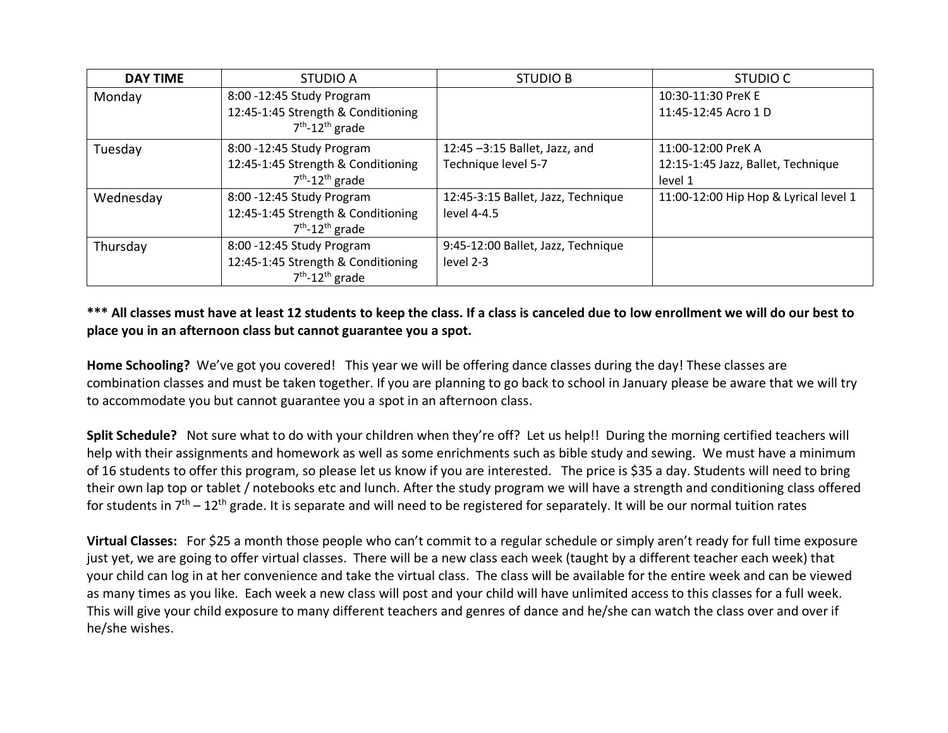| <b>DAY TIME</b> | STUDIO A                                                 | <b>STUDIO B</b>                    | STUDIO C                              |
|-----------------|----------------------------------------------------------|------------------------------------|---------------------------------------|
| Monday          | 8:00 - 12:45 Study Program                               |                                    | 10:30-11:30 PreK E                    |
|                 | 12:45-1:45 Strength & Conditioning<br>$7th - 12th$ grade |                                    | 11:45-12:45 Acro 1 D                  |
| Tuesday         | 8:00 - 12:45 Study Program                               | 12:45 -3:15 Ballet, Jazz, and      | 11:00-12:00 PreK A                    |
|                 | 12:45-1:45 Strength & Conditioning                       | Technique level 5-7                | 12:15-1:45 Jazz, Ballet, Technique    |
|                 | $7th - 12th$ grade                                       |                                    | level 1                               |
| Wednesday       | 8:00 - 12:45 Study Program                               | 12:45-3:15 Ballet, Jazz, Technique | 11:00-12:00 Hip Hop & Lyrical level 1 |
|                 | 12:45-1:45 Strength & Conditioning                       | level 4-4.5                        |                                       |
|                 | $7th - 12th$ grade                                       |                                    |                                       |
| Thursday        | 8:00 - 12:45 Study Program                               | 9:45-12:00 Ballet, Jazz, Technique |                                       |
|                 | 12:45-1:45 Strength & Conditioning                       | level 2-3                          |                                       |
|                 | $7th - 12th$ grade                                       |                                    |                                       |

### **\*\*\* All classes must have at least 12 students to keep the class. If a class is canceled due to low enrollment we will do our best to place you in an afternoon class but cannot guarantee you a spot.**

**Home Schooling?** We've got you covered! This year we will be offering dance classes during the day! These classes are combination classes and must be taken together. If you are planning to go back to school in January please be aware that we will try to accommodate you but cannot guarantee you a spot in an afternoon class.

**Split Schedule?** Not sure what to do with your children when they're off? Let us help!! During the morning certified teachers will help with their assignments and homework as well as some enrichments such as bible study and sewing. We must have a minimum of 16 students to offer this program, so please let us know if you are interested. The price is \$35 a day. Students will need to bring their own lap top or tablet / notebooks etc and lunch. After the study program we will have a strength and conditioning class offered for students in  $7<sup>th</sup> - 12<sup>th</sup>$  grade. It is separate and will need to be registered for separately. It will be our normal tuition rates

**Virtual Classes:** For \$25 a month those people who can't commit to a regular schedule or simply aren't ready for full time exposure just yet, we are going to offer virtual classes. There will be a new class each week (taught by a different teacher each week) that your child can log in at her convenience and take the virtual class. The class will be available for the entire week and can be viewed as many times as you like. Each week a new class will post and your child will have unlimited access to this classes for a full week. This will give your child exposure to many different teachers and genres of dance and he/she can watch the class over and over if he/she wishes.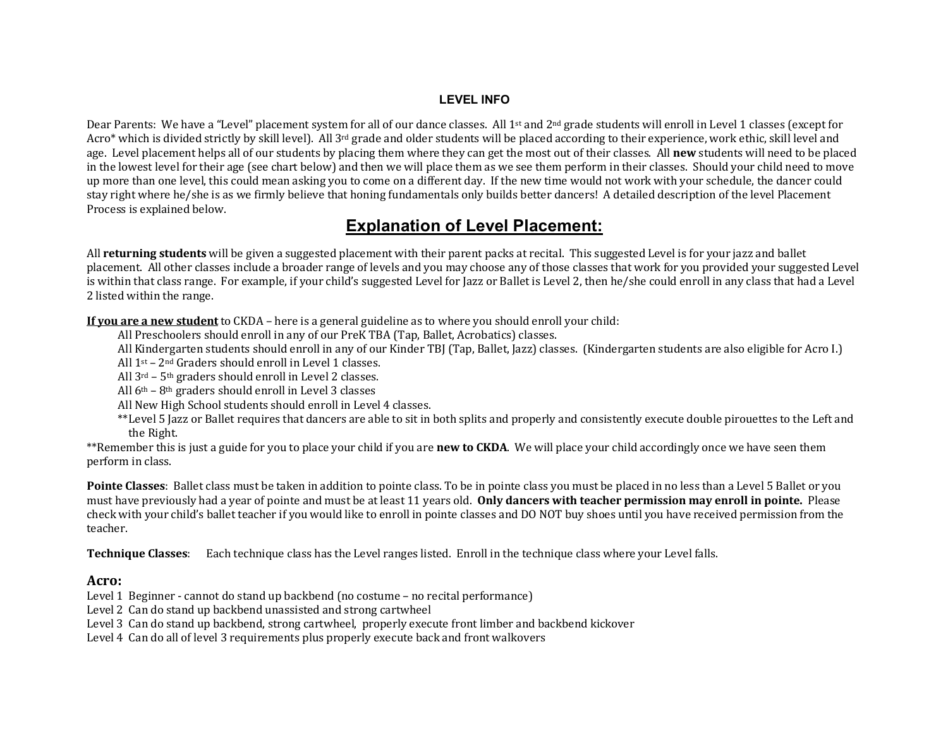#### **LEVEL INFO**

Dear Parents: We have a "Level" placement system for all of our dance classes. All 1<sup>st</sup> and 2<sup>nd</sup> grade students will enroll in Level 1 classes (except for Acro\* which is divided strictly by skill level). All 3<sup>rd</sup> grade and older students will be placed according to their experience, work ethic, skill level and age. Level placement helps all of our students by placing them where they can get the most out of their classes. All new students will need to be placed in the lowest level for their age (see chart below) and then we will place them as we see them perform in their classes. Should your child need to move up more than one level, this could mean asking you to come on a different day. If the new time would not work with your schedule, the dancer could stay right where he/she is as we firmly believe that honing fundamentals only builds better dancers! A detailed description of the level Placement Process is explained below.

## **Explanation of Level Placement:**

All **returning students** will be given a suggested placement with their parent packs at recital. This suggested Level is for your jazz and ballet placement. All other classes include a broader range of levels and you may choose any of those classes that work for you provided your suggested Level is within that class range. For example, if your child's suggested Level for Jazz or Ballet is Level 2, then he/she could enroll in any class that had a Level 2 listed within the range.

**If you are a new student** to CKDA – here is a general guideline as to where you should enroll your child:

All Preschoolers should enroll in any of our PreK TBA (Tap, Ballet, Acrobatics) classes.

All Kindergarten students should enroll in any of our Kinder TBJ (Tap, Ballet, Jazz) classes. (Kindergarten students are also eligible for Acro I.)

All  $1^{st}$  –  $2^{nd}$  Graders should enroll in Level 1 classes.

All  $3^{rd}$  –  $5^{th}$  graders should enroll in Level 2 classes.

All  $6<sup>th</sup>$  –  $8<sup>th</sup>$  graders should enroll in Level 3 classes

All New High School students should enroll in Level 4 classes.

\*\*Level 5 Jazz or Ballet requires that dancers are able to sit in both splits and properly and consistently execute double pirouettes to the Left and the Right.

\*\*Remember this is just a guide for you to place your child if you are **new to CKDA**. We will place your child accordingly once we have seen them perform in class.

Pointe Classes: Ballet class must be taken in addition to pointe class. To be in pointe class you must be placed in no less than a Level 5 Ballet or you must have previously had a year of pointe and must be at least 11 years old. Only dancers with teacher permission may enroll in pointe. Please check with your child's ballet teacher if you would like to enroll in pointe classes and DO NOT buy shoes until you have received permission from the teacher.

**Technique Classes:** Each technique class has the Level ranges listed. Enroll in the technique class where your Level falls.

#### **Acro:**

Level 1 Beginner - cannot do stand up backbend (no costume – no recital performance)

Level 2 Can do stand up backbend unassisted and strong cartwheel

Level 3 Can do stand up backbend, strong cartwheel, properly execute front limber and backbend kickover

Level 4 Can do all of level 3 requirements plus properly execute back and front walkovers